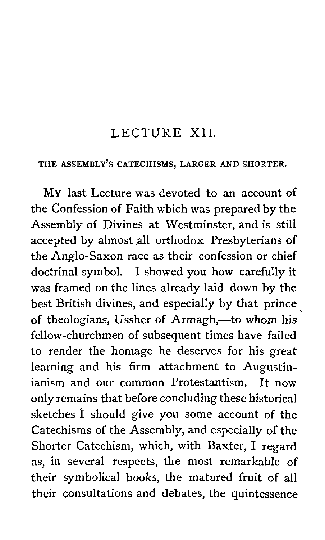#### LECTURE XII.

#### THE ASSEMBLY'S CATECHISMS, LARGER AND SHORTER.

MY last Lecture was devoted to an account of the Confession of Faith which was prepared by the Assembly of Divines at Westminster, and is still accepted by almost all orthodox Presbyterians of the Anglo-Saxon race as their confession or chief doctrinal symbol. I showed you how carefully it was framed on the lines already laid down by the best British divines, and especially by that prince of theologians, Ussher of Armagh,-to whom his fellow-churchmen of subsequent times have failed to render the homage he deserves for his great learning and his firm attachment to Augustinianism and our common Protestantism. It now only remains that before concluding these historical sketches I should give you some account of the Catechisms of the Assembly, and especially of the Shorter Catechism, which, with Baxter, I regard as, in several respects, the most remarkable of their symbolical books, the matured fruit of all their consultations and debates, the quintessence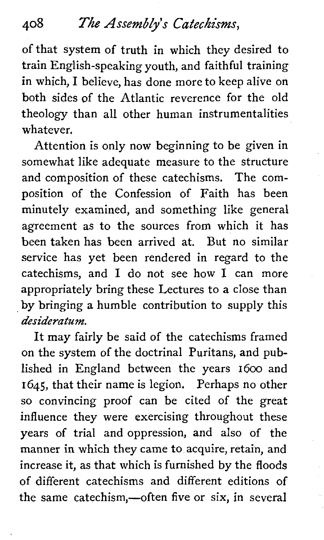# *408 The Assemblys Catechisms,*

of that system of truth in which they desired to train English-speaking youth, and faithful training in which, I believe, has done more to keep alive on both sides of the Atlantic reverence for the old theology than all other human instrumentalities whatever.

Attention is only now beginning to be given in somewhat like adequate measure to the structure and composition of these catechisms. The composition of the Confession of Faith has been minutely examined, and something like general agreement as to the sources from which it has been taken has been arrived at. But no similar service has yet been rendered in regard to the catechisms, and I do not see how I can more appropriately bring these Lectures to a close than by bringing a humble contribution to supply this *desideratum.* 

It may fairly be said of the catechisms framed on the system of the doctrinal Puritans, and published in England between the years 1600 and 1645, that their name is legion. Perhaps no other so convincing proof can be cited of the great influence they were exercising throughout these years of trial and oppression, and also of the manner in which they came to acquire, retain, and increase it, as that which is furnished by the floods of different catechisms and different editions of the same catechism,—often five or six, in several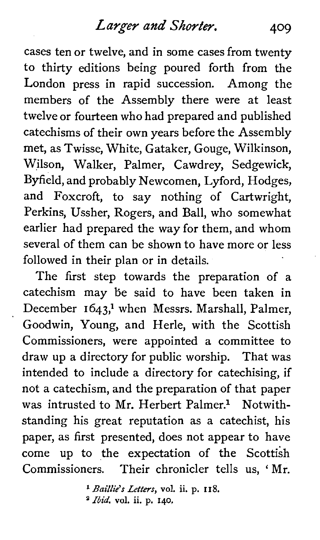cases ten or twelve, and in some cases from twenty to thirty editions being poured forth from the London press in rapid succession. Among the members of the Assembly there were at least twelve or fourteen who had prepared and published catechisms of their own years before the Assembly met, as Twisse, White, Gataker, Gouge, Wilkinson, Wilson, Walker, Palmer, Cawdrey, Sedgewick, Byfield, and probably Newcomen, Lyford, Hodges, and Foxcroft, to say nothing of Cartwright, Perkins, Ussher, Rogers, and Ball, who somewhat earlier had prepared the way for them, and whom several of them can be shown to have more or less followed in their plan or in details.

The first step towards the preparation of a catechism may be said to have been taken in December 1643,<sup>1</sup> when Messrs. Marshall, Palmer, Goodwin, Young, and Herle, with the Scottish Commissioners, were appointed a committee to draw up a directory for public worship. That was intended to include a directory for catechising, if not a catechism, and the preparation of that paper was intrusted to Mr. Herbert Palmer.<sup>1</sup> Notwithstanding his great reputation as a catechist, his paper, as first presented, does not appear to have come up to the expectation of the Scottish Commissioners. Their chronicler tells us, ' Mr.

> \* Baillie's Letters, **vol. ii.** p. **I I** 8. **Ibid. vol. ii. p. 140.**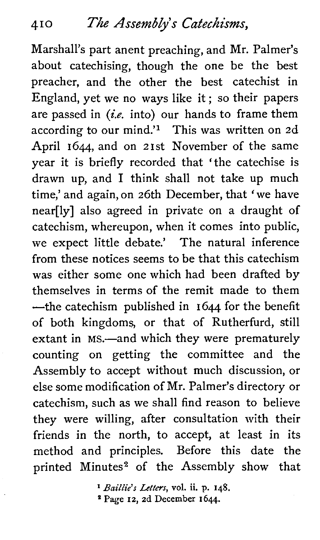Marshall's part anent preaching, and Mr. Palmer's about catechising, though the one be the best preacher, and the other the best catechist in England, yet we no ways like it; so their papers are passed in **(i.e.** into) our hands to frame them according to our mind.'<sup>1</sup> This was written on  $2d$ April 1644, and on 21st November of the same year it is briefly recorded that 'the catechise is drawn up, and 1 think shall not take up much time,' and again, on 26th December, that 'we have near[ly] also agreed in private on a draught of catechism, whereupon, when it comes into public, we expect little debate.' The natural inference from these notices seems to be that this catechism was either some one which had been drafted by themselves in terms of the remit made to them  $\leftarrow$ the catechism published in 1644 for the benefit of both kingdoms, or that of Rutherfurd, still extant in MS.—and which they were prematurely counting on getting the committee and the Assembly to accept without much discussion, or else some modification of Mr. Palmer's directory or catechism, such as we shall find reason to believe they were willing, after consultation with their friends in the north, to accept, at least in its method and principles. Before this date the printed Minutes<sup>2</sup> of the Assembly show that

> *Baillie's Letters,* **vol. ii.** p. **148. Page** 12, 2d December I 644.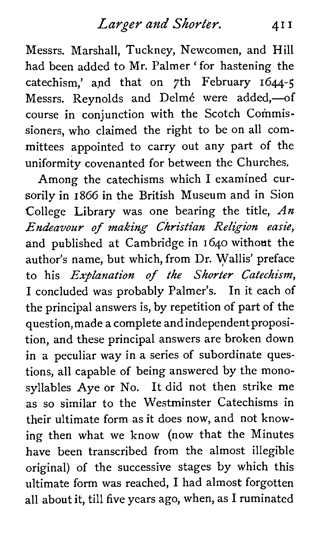Messrs. Marshall, Tuckney, Newcomen, and Hill had been added to Mr. Palmer ' for hastening the catechism,' and that on 7th February  $1644-5$ Messrs. Reynolds and Delmé were added.-of course in conjunction with the Scotch Commissioners, who claimed the right to be on all committees appointed to carry out any part of the uniformity covenanted for between the Churches.

Among the catechisms which 1 examined cursorily in 1866 in the British Museum and in Sion College Library was one bearing the title,  $An$ Endeavour of making Christian Religion easie, and published at Cambridge in 1640 without the author's name, but which, from Dr. Wallis' preface to his *Explanation of the Shorter Catechism*, **1** concluded was probably Palmer's. In it each of the principal answers is, by repetition of part of the question, made a complete and independent proposition, and these principal answers are broken down in a peculiar way in a series of subordinate questions, all capable of being answered by the monosyllables Aye or No. It did not then strike me as so similar to the Westminster Catechisms in their ultimate form as it does now, and not knowing then what we know (now that the Minutes have been transcribed from the almost illegible original) of the successive stages by which this ultimate form was reached, 1 had almost forgotten all about it, till five years ago, when, as 1 ruminated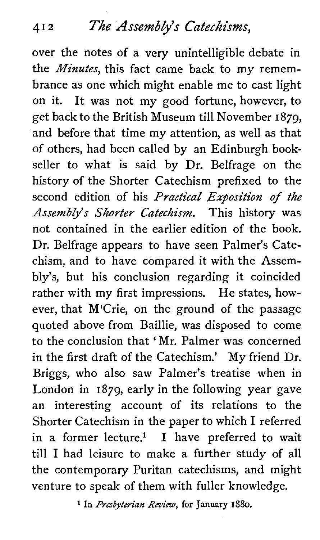over the notes of a very unintelligible debate in the *Minutes*, this fact came back to my remembrance as one which might enable me to cast light on it. It was not my good fortune, however, to get back to the British Museum till November I 879, and before that time my attention, as well as that of others, had been called by an Edinburgh bookseller to what is said by Dr. Belfrage on the history of the Shorter Catechism prefixed to the second edition of his Practical Exposition of the Assembly's Shorter Catechism. This history was not contained in the earlier edition of the book. Dr. Belfrage appears to have seen Palmer's Catechism, and to have compared it with the Assembly's, but his conclusion regarding it coincided rather with my first impressions. He states, however, that M'Crie, on the ground of the passage quoted above from Baillie, was disposed to come to the conclusion that 'Mr. Palmer was concerned in the first draft of the Catechism.' My friend Dr. Briggs, who also saw Palmer's treatise when in London in 1879, early in the following year gave an interesting account of its relations to the Shorter Catechism in the paper to which I referred in a former lecture.<sup>1</sup> I have preferred to wait till I had leisure to make a further study of all the contemporary Puritan catechisms, and might venture to speak of them with fuller knowledge.

<sup>1</sup> In *Presbyterian Review*, for January 1880.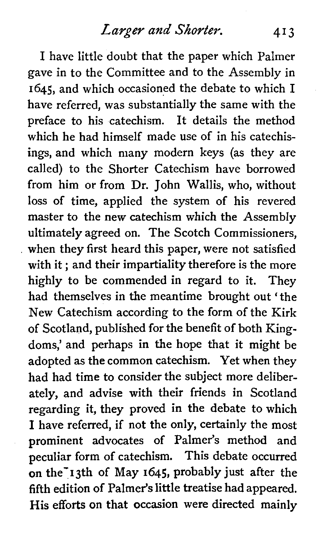I have little doubt that the paper which Palmer gave in to the Committee and to the Assembly in 1645, and which occasioned the debate to which I have referred, was substantially the same with the preface to his catechism. It details the method which he had himself made use of in his catechisings, and which many modern keys (as they are called) to the Shorter Catechism have borrowed from him or from Dr. John Wallis, who, without loss of time, applied the system of his revered master to the new catechism which the Assembly ultimately agreed on. The Scotch Commissioners, when they first heard this paper, were not satisfied with it ; and their impartiality therefore is the more highly to be commended in regard to it. They had themselves in the meantime brought out 'the New Catechism according to the form of the Kirk of Scotland, published for the benefit of both Kingdoms,' and perhaps in the hope that it might be adopted as the common catechism. Yet when they had had time to consider the subject more deliberately, and advise with their friends in Scotland regarding it, they proved in the debate to which I have referred, if not the only, certainly the most prominent advocates of Palmer's method and peculiar form of catechism. This debate occurred on the<sup>-</sup>13th of May 1645, probably just after the fifth edition of Palmer's little treatise had appeared. His efforts on that occasion were directed mainly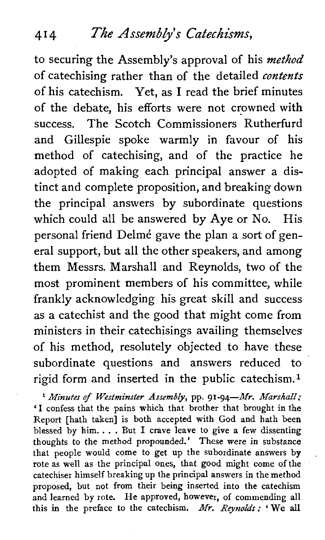#### **414 The Assem8Ly's Catechisms,**

to securing the Assembly's approval of his *method*  of catechising rather than of the detailed *contents*  of his catechism. Yet, as I read the brief minutes of the debate, his efforts were not crowned with success. The Scotch Commissioners Rutherfurd and Gillespie spoke warmly in favour of his method of catechising, and of the practice he adopted of making each principal answer a distinct and complete proposition, and breaking down the principal answers by subordinate questions which could all be answered by Aye or No. His personal friend Delmé gave the plan a sort of general support, but all the other speakers, and among them Messrs. Marshal1 and Reynolds, two of the most prominent members of his committee, while frankly acknowledging his great skill and success as a catechist and the good that might come from ministers in their catechisings availing themselves of his method, resolutely objected to have these subordinate questions and answers reduced to rigid form and inserted in the public catechism.1

<sup>1</sup> Minutes of Westminster Assembly, pp. 91-94-Mr. Marshall: 'I confess that the pains which that brother that brought in the Report [hath taken] is both accepted with God and hath been blessed by him. . . . But I crave leave to give a few dissenting thoughts to the method propounded.' These were in substance that people would come to get up the subordinate answers by rote as well as the principal ones, that good might come of the catechiser himself breaking up the principal answers in the method proposed, but not from their being inserted into the catechism and learned by rote. He approved, however, of commending all this in the preface to the catechism. *Mr. Reynolds*: 'We all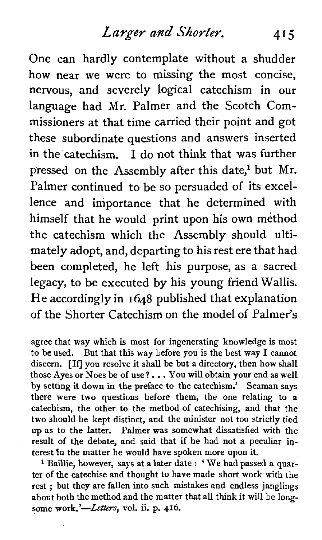One can hardly contemplate without a shudder how near we were to missing the most concise, nervous, and severely logical catechism in our language had Mr. Palmer and the Scotch Commissioners at that time carried their point and got these subordinate questions and answers inserted in the catechism. I do not think that was further pressed on the Assembly after this date,<sup>1</sup> but Mr. Palmer continued to be so persuaded of its excellence and importance that he determined with himself that he would print upon his own method the catechism which the Assembly should ultimately adopt, and, departing to his rest ere that had been completed, he left his purpose, as a sacred legacy, to be executed by his young friend Wallis. He accordingly in 1648 published that explanation of the Shorter Catechism on the model of Palmer's

agree that way which is most for ingenerating knowledge is most to be used. But that this way before you is the best way I cannot discern. [If] you resolve it shall be but a directory, then how shall those Ayes or Noes be of use?. . . You will obtain your end as well by setting it down in the preface to the catechism.' Seaman says there were two questions before them, the one relating to a catechism, the other to the method of catechising, and that the two should be kept distinct, and the minister not too strictly tied up as to the latter. Palmer **was** somewhat dissatisfied with the result of the debate, and said that if he had not a peculiar interest In the matter he would have spoken more upon it.

<sup>1</sup> Baillie, however, says at a later date : 'We had passed a quarter of the catechise and thought to have made short work with the rest ; but they are fallen into such mistakes and endless janglings about both the method and the matter that all think it will be long some work.'-Letters, vol. ii. p. 416.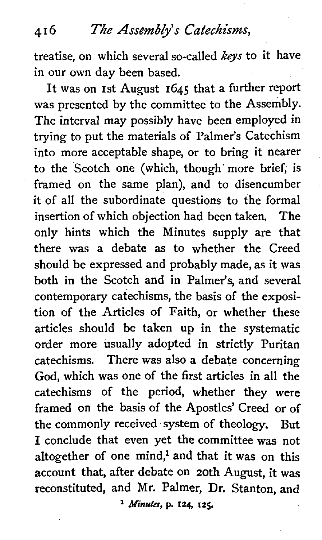#### **4 I** *6 The* Assewb&'s Catechisms,

treatise, on which several so-called *keys* to it have in our own day been based.

It was on 1st August 1645 that a further report was presented by the committee to the Assembly. The interval may possibly have been employed in trying to put the materials of Palmer's Catechism into more acceptable shape, or to bring it nearer to the Scotch one (which, though' more brief; is framed on the same plan), and to disencumber it of all the subordinate questions to the formal insertion of which objection had been taken. The only hints which the Minutes supply are that there was a debate as to whether the Creed should be expressed and probably made, as it was both in the Scotch and in Palmer's, and several contemporary catechisms, the basis of the exposition of the Articles of Faith, or whether these articles should be taken up in the systematic order more usually adopted in strictly Puritan catechisms. There was also a debate concerning God, which was one of the first articles in all the catechisms of the period, whether they were framed on the basis of the Apostles' Creed or of the commonly received system of theology. But **I** conclude that even yet the committee was not altogether of one mind,<sup>1</sup> and that it was on this account that, after debate on 20th August, it was reconstituted, and Mr. Palmer, Dr. Stanton, and

*Minutes,* **p. 124 125.**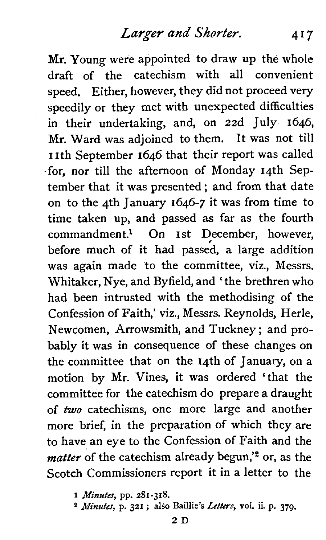Mr. Young were appointed to draw up the whole draft of the catechism with all convenient speed. Either, however, they did not proceed very speedily or they met with unexpected difficulties in their undertaking, and, on 22d July 1646, Mr. Ward was adjoined to them. It was not till 11th September 1646 that their report was called for, nor till the afternoon of Monday 14th September that it was presented ; and from that date on to the 4th January 1646-7 it was from time to time taken up, and passed **as** far as the fourth commandment.<sup>1</sup> On 1st December, however, before much of it had passed, a large addition was again made to the committee, viz., Messrs. Whitaker, Nye, and Byfield, and 'the brethren who had been intrusted with the methodising of the Confession of Faith,' viz., Messrs. Reynolds, Herle, Newcomen, Arrowsmith, and Tuckney ; and probably it was in consequence of these changes on the committee that on the 14th of January, on a motion by Mr. Vines, it was ordered 'that the committee for the catechism do prepare a draught of two catechisms, one more large and another more brief, in the preparation of which they are to have an eye to the Confession of Faith and the *matter* of the catechism already begun,'<sup>2</sup> or, as the Scotch Commissioners report it in a letter to the

**1** *Minutes,* **pp. 281-318.** 

**<sup>2</sup>***&finutes,* **p. 321** ; **also Baillie's** *Letters,* **vol. ii. p. 379.**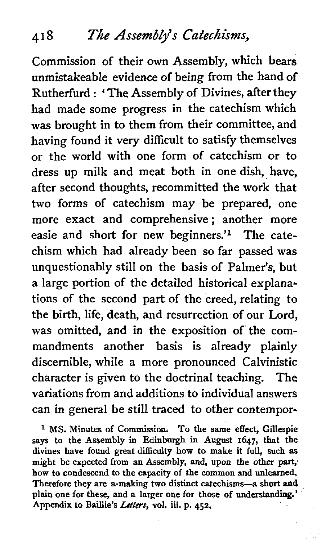#### **4 I 8** *The Assemblys Catechisms,*

Commission of their own Assembly, which bears unmistakeable evidence of being from the hand of Rutherfurd : ' The Assembly of Divines, after they had made some progress in the catechism which was brought in to them from their committee, and having found it very difficult to satisfy themselves or the world with one form of catechism or to dress up milk and meat both in one dish, have, after second thoughts, recommitted the work that two forms of catechism may be prepared, one more exact and comprehensive; another more easie and short for new beginners.'l The catechism which had already been so far passed was unquestionably still on the basis of Palmer's, but a large portion of the detailed historical explanations of the second part of the creed, relating to the birth, life, death, and resurrection of our Lord, was omitted, and in the exposition of the commandments another basis is already plainly discernible, while a more pronounced Calvinistic character is given to the doctrinal teaching. The variations from and additions to individual answers can in general be still traced to other contempor-

<sup>1</sup> MS. Minutes of Commission. To the same effect, Gillespie says to the Assembly in Edinburgh in August 1647, that the divines have found great difficulty how to make it full, such as might be expected **from** an Assembly, and, upon the other **part;**  how to condescend to the capacity of the common and unlearned. Therefore they are a-making two distinct catechisms--a short and plain one for these, and a larger one for those of understanding.' Appendix to Baillie's *Letters*, vol. iii. p. 452.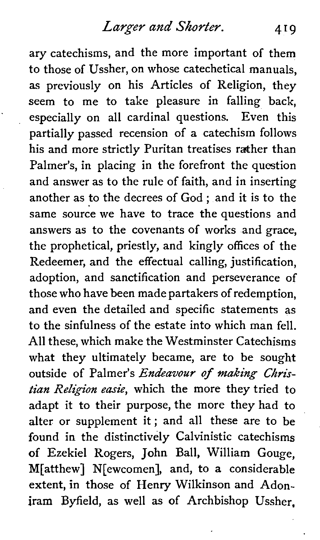ary catechisms, and the more important of them to those of Ussher, on whose catechetical manuals, as previously on his Articles of Religion, they seem to me to take pleasure in falling back, especially on all cardinal questions. Even this partially passed recension of a catechism follows his and more strictly Puritan treatises rather than Palmer's, in placing in the forefront the question and answer as to the rule of faith, and in inserting another as to the decrees of God ; and it is to the same source we have to trace the questions and answers as to the covenants of works and grace, the prophetical, priestly, and kingly offices of the Redeemer, and the effectual calling, justification, adoption, and sanctification and perseverance of those who have been made partakers of redemption, and even the detailed and specific statements as to the sinfulness of the estate into which man fell. All these, which make the Westminster Catechisms what they ultimately became, are to be sought outside of Palmer's Endeavour of **making** *Christian* Religion easie, which the more they tried to adapt it to their purpose, the more they had to alter or supplement it; and all these are to be found in the distinctively Calvinistic catechisms of Ezekiel Rogers, John Ball, William Gouge, M[atthew] N[ewcomen], and, to a considerable extent, in those of Henry Wilkinson and Adoniram Byfield, as well as of Archbishop Ussher,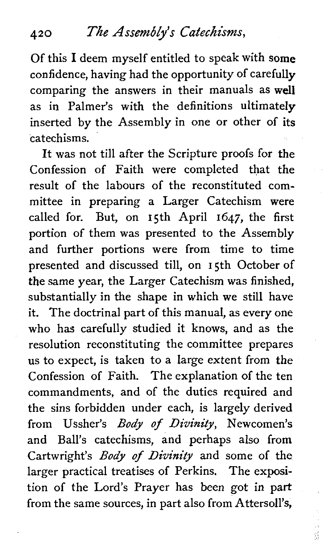Of this **1** deem myself entitled to speak with some confidence, having had the opportunity of carefully comparing the answers in their manuals as well as in Palmer's with the definitions ultimately inserted by the Assembly in one or other of its catechisms.

It was not till after the Scripture proofs for the Confession of Faith were completed that the result of the labours of the reconstituted committee in preparing a Larger Catechism were called for. But, on 15th April 1647, the first portion of them was presented to the Assembly and further portions were from time to time presented and discussed till, on 15th October of the same year, the Larger Catechism was finished, substantially in the shape in which we still have it. The doctrinal part of this manual, as every one who has carefully studied it knows, and as the resolution reconstituting the committee prepares us to expect, is taken to a large extent from the Confession of Faith. The explanation of the ten commandments, and of the duties required and the sins forbidden under each, is largely derived from Ussher's *Body* **of** Divinity, Newcomen's and Ball's catechisms, and perhaps also from Cartwright's *Body* **of** Divinity and some of the larger practical treatises of Perkins. The exposition of the Lord's Prayer has been got in part from the same sources, in part also from Attersoll's,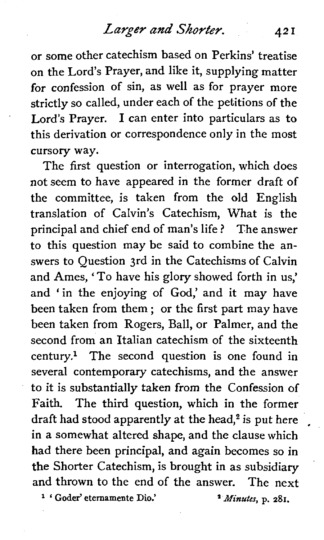or some other catechism based on Perkins' treatise on the Lord's Prayer, and like it, supplying matter for confession of sin, as well as for prayer more strictly so called, under each of the petitions of the Lord's Prayer. **1** can enter into particulars as to this derivation or correspondence only in the most cursory way.

The first question or interrogation, which does not seem to have appeared in the former draft of the committee, is taken from the old English translation of Calvin's Catechism, What is the principal and chief end of man's life ? The answer to this question may be said to combine the answers to Question 3rd in the Catechisms of Calvin and Ames, 'To have his glory showed forth in us,' and 'in the enjoying of God,' and it may have been taken from them ; or the first part may have been taken from Rogers, Ball, or Palmer, and the second from an Italian catechism of the sixteenth century? The second question is one found in several contemporary catechisms, and the answer to it is substantially taken from the Confession of Faith. The third question, which in the former draft had stood apparently at the head, $2$  is put here in a somewhat altered shape, and the clause which had there been principal, and again becomes so in the Shorter Catechism, is brought in as subsidiary and thrown to the end of the answer. The next<br><sup>1</sup>'Goder' eternamente Dio.' '' *Minutes*, p. 281.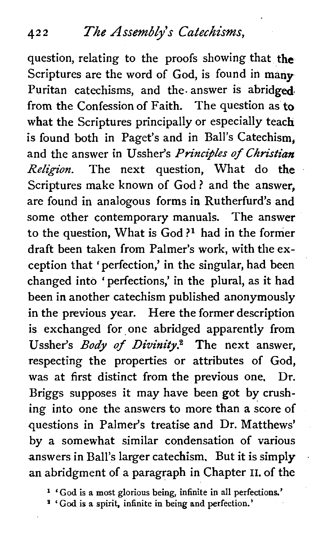question, relating to the proofs showing that the Scriptures are the word of God, is found in many-Puritan catechisms, and the answer is abridged from the Confession of Faith. The question as to what the Scriptures principally or especially teach is found both in Paget's and in Ball's Catechism, and the answer in Ussher's *Principles of Christian* **Religion.** The next question, What do the Scriptures make known of God ? and the answer, are found in analogous forms in Rutherfurd's and some other contemporary manuals. The answer to the question, What is God **?l** had in the former draft been taken from Palmer's work, with the exception that 'perfection,' in the singular, had been changed into 'perfections,' in the plural, as it had been in another catechism published anonymously in the previous year. Here the former description is exchanged for one abridged apparently from Ussher's **Body** of *Divinity2* The next answer, respecting the properties or attributes of God, was at first distinct from the previous one. Dr. Briggs supposes it may have been got by crushing into one the answers to more than a score of questions in Palmer's treatise and Dr. Matthews' by a somewhat similar condensation of various answers in Ball's larger catechism. But it is simply an abridgment of a paragraph in Chapter **11.** of the

**<sup>l</sup>'God is a most glorious being, infinite in all perfections.'** 

' God **is a spirit, infinite in being and perfection.'**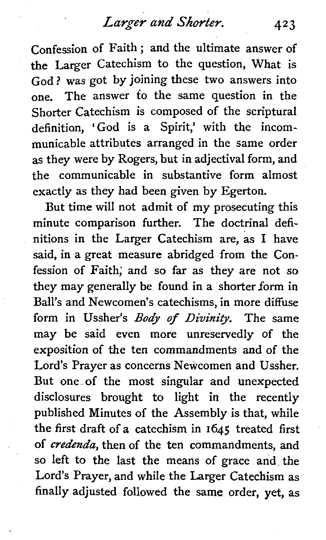confession of Faith ; and the ultimate answer of the Larger Catechism to the question, What is God? was got by joining these two answers into one. The answer to the same question in the Shorter Catechism is composed of the scriptural definition, 'God is a Spirit,' with the incommunicable attributes arranged in the same order as they were by Rogers, but in adjectival form, and the communicable in substantive form almost exactly as they had been given by Egerton.

But time will not admit of my prosecuting this minute comparison further. The doctrinal definitions in the Larger Catechism are, as **1** have said, in a great measure abridged from the Confession of Faith; and so far as they are not so they may generally be found in a shorter form in Ball's and Newcomen's catechisms, in more diffuse form in Ussher's **Body** of **Divinity.** The same may be said even more unreservedly of the exposition of the ten commandments and of the Lord's Prayer as concerns Newcomen and Ussher. But one of the most singular and unexpected disclosures brought to light in the recently published Minutes of the Assembly is that, while the first draft of a catechism in 1645 treated first of credenda, then of the ten commandments, and so left to the last the means of grace and the Lord's Prayer, and while the Larger Catechism as finally adjusted followed the same order, yet, as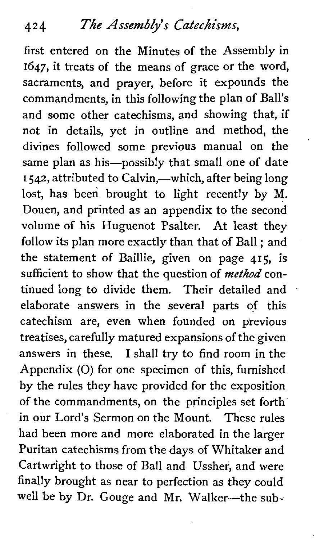first entered on the Minutes of the Assembly in **1647,** it treats of the means of grace or the word, sacraments, and prayer, before it expounds the commandments, in this following the plan of Ball's and some other catechisms, and showing that, if not in details, yet in outline and method, the divines followed some previous manual on the same plan as his-possibly that small one of date **1542, attributed to Calvin,—which, after being long** lost, has been brought to light recently by M. Douen, and printed as an appendix to the second volume of his Huguenot Psalter. At least they follow its plan more exactly than that of Ball ; and the statement of Baillie, given on page **415,** is sufficient to show that the question of *method* continued long to divide them. Their detailed and elaborate answers in the several parts of this catechism are, even when founded on previous treatises, carefully matured expansions of the given answers in these. **1** shall try to find room in the Appendix (0) for one specimen of this, furnished by the rules they have provided for the exposition of the commandments, on the principles set forth in our Lord's Sermon on the Mount. These rules had been more and more elaborated in the larger Puritan catechisms from the days of Whitaker and Cartwright to those of Ball and Ussher, and were finally brought as near to perfection as they could well be by Dr. Gouge and Mr. Walker-the sub-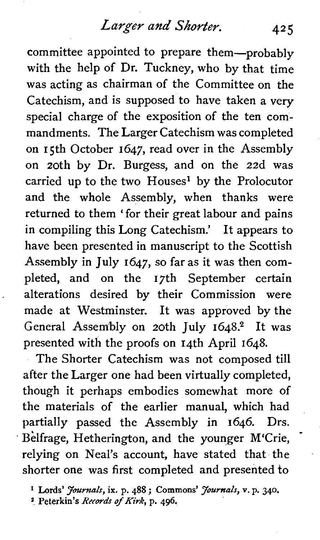# *Larger* am? *Shorter.* **<sup>425</sup>**

committee appointed to prepare them---probably with the help of Dr. Tuckney, who by that time was acting as chairman of the Committee on the Catechism, and is supposed to have taken a very special charge of the exposition of the ten commandments. The Larger Catechism was completed on 15th October 1647, read over in the Assembly on 20th by Dr. Burgess, and on the 22d was carried up to the two  $H$ ouses<sup>1</sup> by the Prolocutor and the whole Assembly, when thanks were returned to them 'for their great labour and pains in compiling this Long Catechism.' It appears to have been presented in manuscript to the Scottish Assembly in July 1647, so far as it was then completed, and on the 17th September certain alterations desired by their Commission were made at Westminster. It was approved by the General Assembly on 20th July 1648.<sup>2</sup> It was presented with the proofs on 14th April 1648.

The Shorter Catechism was not composed till after the Larger one had been virtually completed, though it perhaps embodies somewhat more of the materials of the earlier manual, which had partially passed the Assembly in 1646. Drs. Belfrage, Hetherington, and the younger M'Crie, relying on Neal's account, have stated that the shorter one was first completed and presented to

<sup>1</sup> Lords' *Journals*, ix. p. 488 ; Commons' *Journals*, v. p. 340.

**2 Peterkin's** Recards of *Kirk,* p. 496.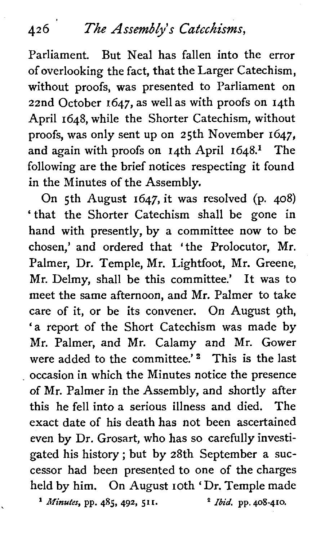# 426 *The* **Assemblys** *Catechisms,*

Parliament. But Neal has fallen into the error of overlooking the fact, that the Larger Catechism, without proofs, was presented to Parliament on 22nd October 1647, as well as with proofs on 14th April 1648, while the Shorter Catechism, without proofs, was only sent up on 25th November 1647, and again with proofs on  $14$ th April  $1648$ <sup>1</sup> The following are the brief notices respecting it found in the Minutes of the Assembly.

On 5th August 1647, it was resolved (p. 408) ' that the Shorter Catechism shall be gone in hand with presently, by a committee now to be chosen,' and ordered that ' the Prolocutor, Mr. Palmer, Dr. Temple, Mr. Lightfoot, Mr. Greene, Mr. Delmy, shall be this committee.' It was to meet the same afternoon, and Mr. Palmer to take care of it, or be its convener. On August gth, 'a report of the Short Catechism was made by Mr. Palmer, and Mr. Calamy and Mr. Gower were added to the committee.'<sup>2</sup> This is the last occasion in which the Minutes notice the presence of Mr. Palmer in the Assembly, and shortly after this he fell into a serious illness and died. The exact date of his death has not been ascertained even by Dr. Grosart, who has so carefully investigated his history ; but by 28th September a successor had been presented to one of the charges held by him. On August 10th 'Dr. Temple made **Minutes, pp. 485, 492, 511.** *Ibid.* **pp. 408-410.**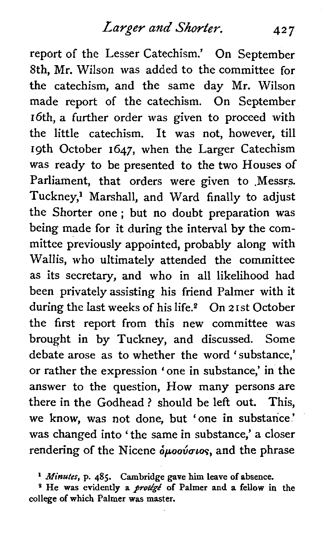report of the Lesser Catechism.' On September Sth, Mr. Wilson was added to the committee for **the** catechism, and the same day Mr. Wilson made report of the catechism. On September 16th, a further order was given to proceed with the little catechism. It was not, however, till 19th October 1647, when the Larger Catechism was ready to be presented to the two Houses of Parliament, that orders were given to .Messrs. Tuckney,<sup>1</sup> Marshall, and Ward finally to adjust the Shorter one ; but no doubt preparation was being made for it during the interval by the committee previously appointed, probably along with Wallis, who ultimately attended the committee as its secretary, and who in all likelihood had been privately assisting his friend Palmer with it during the last weeks of his life.<sup>2</sup> On 21st October the first report from this new committee was brought in by Tuckney, and discussed. Some debate arose as to whether the word 'substance,' or rather the expression ' one in substance,' in the answer to the question, How many persons are there in the Godhead ? should be left out. This, we know, was not done, but 'one in substance' was changed into 'the same in substance,' a closer rendering of the Nicene  $\delta\mu oo\acute{v} \sigma\iota o\varsigma$ , and the phrase

**l** *Minutes,* **p. 485. Cambridge gave him leave of absence.** 

<sup>2</sup> He was evidently a *protige* of Palmer and a fellow in the **college of which Palmer was master.**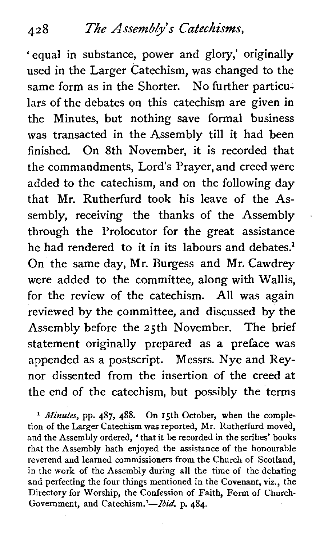'equal in substance, power and glory,' originally used in the Larger Catechism, was changed to the same form as in the Shorter. No further particulars of the debates on this catechism are given in the Minutes, but nothing save formal business was transacted in the Assembly till it had been finished. On 8th November, it is recorded that the commandments, Lord's Prayer, and creed were added to the catechism, and on the following day that Mr. Rutherfurd took his leave of the Assembly, receiving the thanks of the Assembly through the Prolocutor for the great assistance he had rendered to it in its labours and debates.<sup>1</sup> On the same day, Mr. Burgess and Mr. Cawdrey were added to the committee, along with Wallis, for the review of the catechism. All was again reviewed by the committee, and discussed by the Assembly before the 25th November. The brief statement originally prepared as a preface was appended as a postscript. Messrs. Nye and Reynor dissented from the insertion of the creed at the end of the catechism, but possibly the terms

**l** *Minutes,* pp. **487, 488.** On 15th October, when the completion of the Larger Catechism was reported, Mr. Rutherfurd moved, and the Assembly ordered, 'that it be recorded in the scribes' books that the Assembly hath enjoyed the assistance of the honourable reverend and learned commissioners from the Church of Scotland, in the work of the Assembly during all the time of the debating and perfecting the four things mentioned in the Covenant, viz., the Directory for Worship, the Confession of Faith, Fonn of Cliurch-Government, and Catechism.'-*Ibid*. p. 484.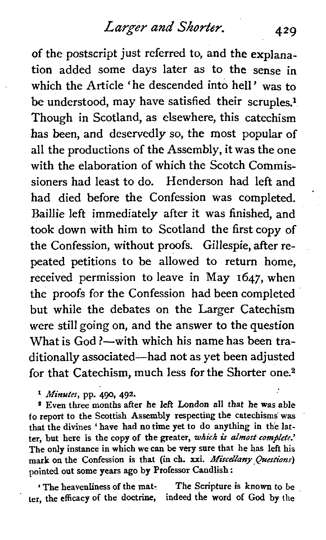of the postscript just referred to, and the explanation added some days later as to the sense in which the Article 'he descended into hell' was to be understood, may have satisfied their scruples.<sup>1</sup> Though in Scotland, as elsewhere, this catechism has been, and deservedly so, the most popular of all the productions of the Assembly, it was the one with the elaboration of which the Scotch Commissioners had least to do. Henderson had left and had died before the Confession was completed. Baillie left immediately after it was finished, and took down with him to Scotland the first copy of the Confession, without proofs. Gillespie, after repeated petitions to be allowed to return home, received permission to leave in May 1647, when the proofs for the Confession had been completed but while the debates on the Larger Catechism were still going on, and the answer to the question What is God ?- with which his name has been traditionally associated-had not as yet been adjusted for that Catechism, much less for the Shorter one.2

\* **Minutes,** pp. **490, 492.** 

*<sup>8</sup>*Even three months after he left London all that he was able fo report to the Scottish Assembly respecting the catechisms was that the divines ' have had no time yet to do anything in the latter, but here is the copy of the greater, which is almost complete.' The only instance in which we can be very sure that he has left his mark on the Confession is that (in ch. xxi. Miscellany Questions) pointed out some years ago by Ptofessor Candlish :

The heavenliness of the mat-<br>the stripture is known to be<br>the efficacy of the doctrine, indeed the word of God by the ter, the efficacy of the doctrine,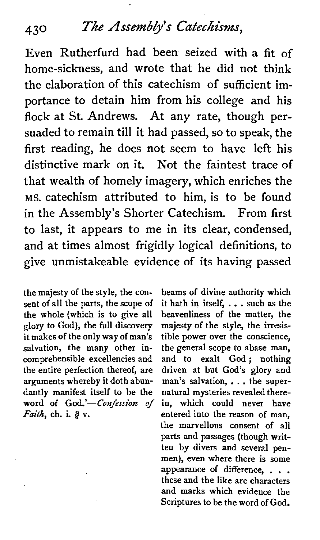# **430** *The Assemb/ys catechisms,*

Even Rutherfurd had been seized with a fit of home-sickness, and wrote that he did not think the elaboration of this catechism of sufficient importance to detain him from his college and his flock at St. Andrews. At any rate, though persuaded to remain till it had passed, so to speak, the first reading, he does not seem to have left his distinctive mark on it. Not the faintest trace of that wealth of homely imagery, which enriches the MS. catechism attributed to him, is to be found in the Assembly's Shorter Catechism. From first to last, it appears to me in its clear, condensed, and at times almost frigidly logical definitions, to give unmistakeable evidence of its having passed

the majesty of the style, the consent of all the parts, the scope of the whole (which is to give all glory to God), the full discovery it makes of the only way of man's salvation, the many other incomprehensible excellencies and the entire perfection thereof, are arguments whereby it doth abundantly manifest itself to he the word of God.'-Confession of Faith, ch. **L** v.

beams of divine authority which it hath in itself, . . . such as the heavenliness of the matter, the majesty of the style, the irresistible power over the conscience, the general scope to abase man, and to exalt God: nothing. driven at but God's glory and man's salvation, . . . the supernatural mysteries revealed therein, which could never have entered into the reason of man, the marvellous consent of all parts and passages (though written by divers and several penmen), even where there is some appearance of difference, . . . these and the like are characters and marks which evidence the Scriptures to be the word of God.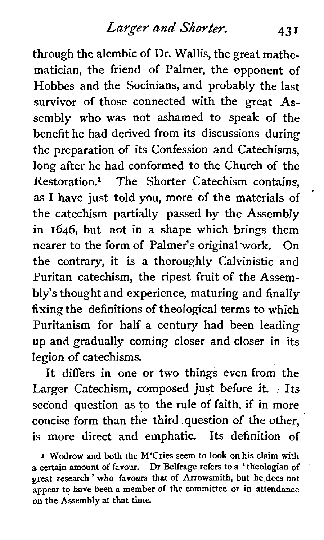through the alembic of Dr. Wallis, the great mathematician, the friend of Palmer, the opponent of Hobbes and the Socinians, and probably the last survivor of those connected with the great Assembly who was not ashamed to speak of the benefit he had derived from its discussions during the preparation of its Confession and Catechisms, long after he had conformed to the Church of the Restoration.<sup>1</sup> The Shorter Catechism contains, as 1 have just told you, more of the materials of the catechism partially passed by the Assembly in 1646, but not in a shape which brings them nearer to the form of Palmer's original "work. On the contrary, it is a thoroughly Calvinistic and Puritan catechism, the ripest fruit of the Assembly's thought and experience, maturing and finally fixing the definitions of theological terms to which Puritanism for half a century had been leading up and gradually coming closer and closer in its legion of catechisms.

It differs in one or two things even from the Larger Catechism, composed just before it. . Its second question as to the rule of faith, if in more concise form than the third .question of the other, is more direct and emphatic. Its definition of

**<sup>1</sup>Wodrow and both the M'Cries seem to look on his claim with a certain amount of favour. Dr Belfrage refers to a 'theologian of great research** ' **who favours that of Arrowsmith, but he does not appear to have been a member of the committee or in attendance on the Assembly at that time.**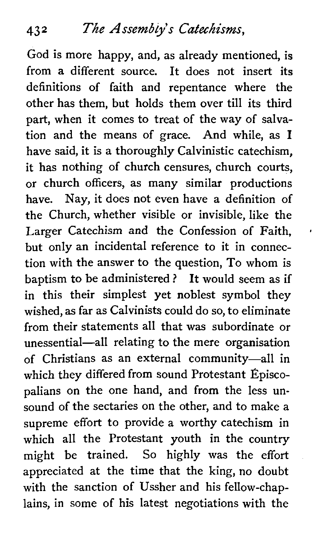God is more happy, and, as already mentioned, is from a different source. It does not insert its definitions of faith and repentance where the other has them, but holds them over till its third part, when it comes to treat of the way of salvation and the means of grace. And while, as **1**  have said, it is a thoroughly Calvinistic catechism, it has nothing of church censures, church courts, or church officers, as many similar productions have. Nay, it does not even have a definition of the Church, whether visible or invisible, like the Larger Catechism and the Confession of Faith, but only an incidental reference to it in connection with the answer to the question, To whom is baptism to be administered ? It would seem as if in this their simplest yet noblest symbol they wished, as far as Calvinists could do so, to eliminate from their statements all that was subordinate or unessential-all relating to the mere organisation of Christians as an external community-all in which they differed from sound Protestant Episcopalians on the one hand, and from the less unsound of the sectaries on the other, and to make a supreme effort to provide a worthy catechism in which all the Protestant youth in the country might be trained. So highly was the effort appreciated at the time that the king, no doubt with the sanction of Ussher and his fellow-chaplains, in some of his latest negotiations with the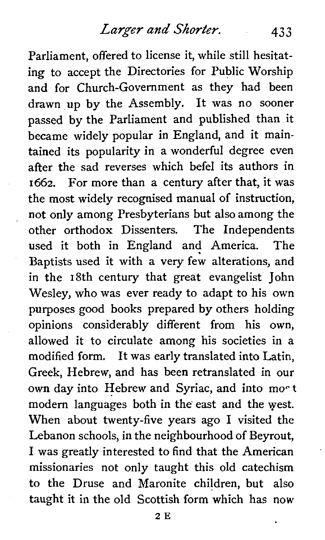Parliament, offered to license it, while still hesitating to accept the Directories for Public Worship and for Church-Government as they had been drawn up by the Assembly. It was no sooner passed by the Parliament and published than it became widely popular in England, and it maintained its popularity in a wonderful degree even after the sad reverses which befel its authors in 1662. For more than a century after that, it was the most widely recognised manual of instruction, not only among Presbyterians but also among the other orthodox Dissenters. The Independents used it both in England and America. The Baptists used it with a very few alterations, and in the 18th century that great evangelist John Wesley, who was ever ready to adapt to his own purposes good books prepared by others holding opinions considerably different from his own, allowed it to circulate among his societies in a modified form. It was early translated into Latin, Greek, Hebrew, and has been retranslated in our own day into Hebrew and Syriac, and into mo<sup>ct</sup> modern languages both in the east and the yest. When about twenty-five years ago **1** visited the Lebanon schools, in the neighbourhood of Beyrout, 1 was greatly interested to find that the American . missionaries not only taught this old catechism to the Druse and Maronite children, but also taught it in the old Scottish form which has now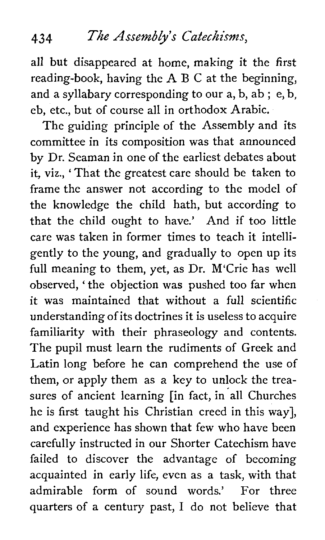#### 434 *The* Assembly's Catechisms,

all but disappeared at home, making it the first reading-book, having the A B C at the beginning, and a syllabary corresponding to our a, b, ab ; e, b, eb, etc., but of course all in orthodox Arabic.

The guiding principle of the Assembly and its committee in its composition was that announced by Dr. Seaman in one of the earliest debates about it, viz., ' That the greatest care should be taken to frame the answer not according to the model of the knowledge the child hath, but according to that the child ought to have.' And if too little care was taken in former times to teach it intelligently to the young, and gradually to open up its full meaning to them, yet, as Dr. M'Crie has well observed, ' the objection was pushed too far when it was maintained that without a full scientific understanding of its doctrines it is useless to acquire familiarity with their phraseology and contents. The pupil must learn the rudiments of Greek and Latin long before he can comprehend the use of them, or apply them as a key to unlock the treasures of ancient learning [in fact, in all Churches he is first taught his Christian creed in this way], and experience has shown that few who have been carefully instructed in our Shorter Catechism have failed to discover the advantage of becoming acquainted in early life, even as a task, with that admirable form of sound words.' For three quarters of a century past, 1 do not believe that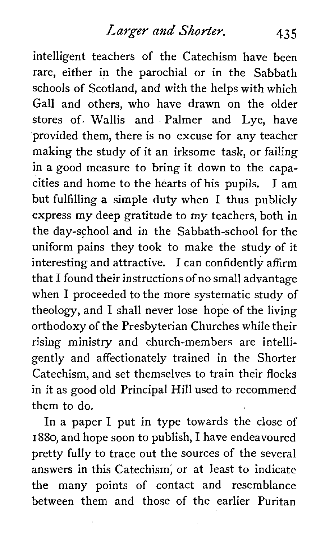intelligent teachers of the Catechism have been rare, either in the parochial or in the Sabbath schools of Scotland, and with the helps with which Gall and others, who have drawn on the older stores of. Wallis and Palmer and Lye, have provided them, there is no excuse for any teacher making the study of it an irksome task, or failing in a good measure to bring it down to the capacities and home to the hearts of his pupils. 1 am but fulfilling a simple duty when 1 thus publicly express my deep gratitude to my teachers, both in the day-school and in the Sabbath-school for the uniform pains they took to make the study of it interesting and attractive. 1 can confidently affirm that **1** found their instructions of no small advantage when 1 proceeded to the more systematic study of theology, and 1 shall never lose hope of the living orthodoxy of the Presbyterian Churches while their rising ministry and church-members are intelligently and affectionately trained in the Shorter Catechism, and set themselves to train their flocks in it as good old Principal Hill used to recommend them to do.

In a paper 1 put in type towards the close of 1880, and hope soon to publish, 1 have endeavoured pretty fully to trace out the sources of the several answers in this Catechism; or at least to indicate the many points of contact and resemblance between them and those of the earlier Puritan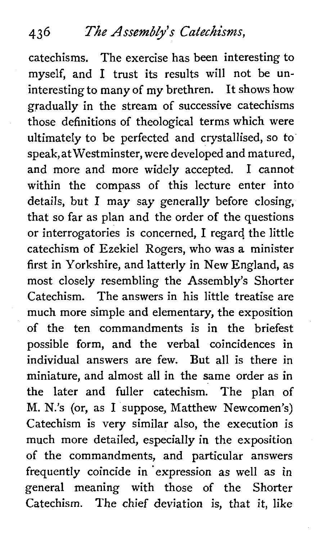# **4 3** *6 The* Assembly's Catechisms,

catechisms. The exercise has been interesting to myself, and 1 trust its results will not be uninteresting to many of my brethren. It shows how gradually in the stream of successive catechisms those definitions of theological terms which were ultimately to be perfected and crystallised, so to' speak, at Westminster, were developed and matured, and more and more widely accepted. 1 cannot within the compass of this lecture enter into details, but 1 may say generally before closing, that so far as plan and the order of the questions or interrogatories is concerned, **1** regard the little catechism of Ezekiel Rogers, who was a minister first in Yorkshire, and latterly in New England, as most closely resembling the Assembly's Shorter Catechism. The answers in his little treatise are much more simple and elementary, the exposition of the ten commandments is in the briefest possible form, and the verbal coincidences in individual answers are few. But all is there in miniature, and almost all in the same order as in the later and fuller catechism. The plan of M. N.'s (or, as **1** suppose, Matthew Newcomen's) Catechism is very similar also, the execution is much more detailed, especially in the exposition of the commandments, and particular answers frequently coincide in expression as well as in general meaning with those of the Shorter Catechism. The chief deviation is, that it, like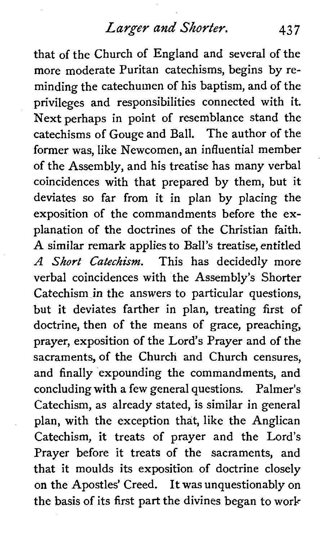that of the Church of England and several of the more moderate Puritan catechisms, begins by reminding the catechumen of his baptism, and of the privileges and responsibilities connected with it. Next perhaps in point of resemblance stand the catechisms of Gouge and Ball. The author of the former was, like Newcomen, an influential member of the Assembly, and his treatise has many verbal coincidences with that prepared by them, but it deviates so far from it in plan by placing the exposition of the commandments before the explanation of the doctrines of the Christian faith. **A** similar remark applies to Ball's treatise, entitled *A Short Catechism.* This has decidedly more verbal coincidences with the Assembly's Shorter Catechism in the answers to particular questions, but it deviates farther in plan, treating first of doctrine, then of the means of grace, preaching, prayer, exposition of the Lord's Prayer and of the sacraments, of the Church and Church censures, and finally expounding the commandments, and concluding with a few general questions. Palmer's Catechism, as already stated, is similar in general plan, with the exception that, like the Anglican Catechism, it treats of prayer and the Lord's Prayer before it treats of the sacraments, and that it moulds its exposition of doctrine closely on the Apostles' Creed. It was unquestionably on the basis of its first part the divines began to work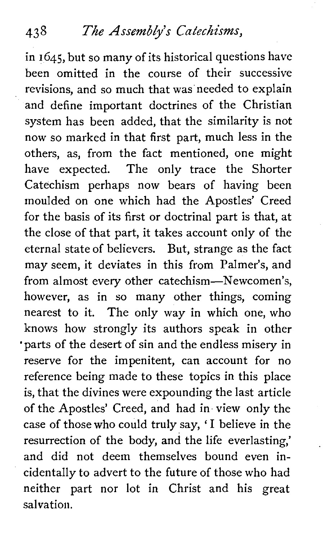in **1645,** but so many of its historical questions have been omitted in the course of their successive revisions, and so much that was needed to explain and define important doctrines of the Christian system has been added, that the similarity is not now so marked in that first part, much less in the others, as, from the fact mentioned, one might have expected. The only trace the Shorter Catechism perhaps now bears of having been moulded on one which had the Apostles' Creed for the basis of its first or doctrinal part is that, at the close of that part, it takes account only of the eternal state of believers. But, strange as the fact may seem, it deviates in this from Palmer's, and from almost every other catechism-Newcomen's, however, as in so many other things, coming nearest to it. The only way in which one, who knows how strongly its authors speak in other 'parts of the desert of sin and the endless misery in reserve for the impenitent, can account for no reference being made to these topics in this place is, that the divines were expounding the last article of the Apostles' Creed, and had in view only the case of those who could truly say, ' 1 believe in the resurrection of the body, and the life everlasting,' and did not deem themselves bound even incidentally to advert to the future of those who had neither part nor lot in Christ and his great salvation.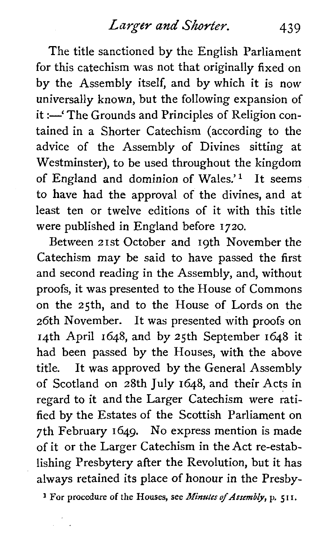The title sanctioned by the English Parliament for this catechism was not that originally fixed on by the Assembly itself, and by which it is now universally known, but the following expansion of it :- 'The Grounds and Principles of Religion contained in a Shorter Catechism (according to the advice of the Assembly of Divines sitting at Westminster), to be used throughout the kingdom of England and dominion of Wales.'l It seems to have had the approval of the divines, and at least ten or twelve editions of it with this title were published in England before 1720.

Between 21st October and 19th November the Catechism may be said to have passed the first and second reading in the Assembly, and, without proofs, it was presented to the House of Commons on the 25th, and to the House of Lords on the 26th November. It was presented with proofs on 14th April 1648, and by 25th September 1648 it had been passed by the Houses, with the above title. It was approved by the General Assembly of Scotland on 28th July 1648, and their Acts in regard to it and the Larger Catechism were ratified by the Estates of the Scottish Parliament on 7th February 1649. No express mention is made of it or the Larger Catechism in the Act re-establishing Presbytery after the Revolution, but it has always retained its place of honour in the Presby-

**1 For procedure of the Houses, see** *Minutes* **of** *Assembly,* **p, 5 I I.**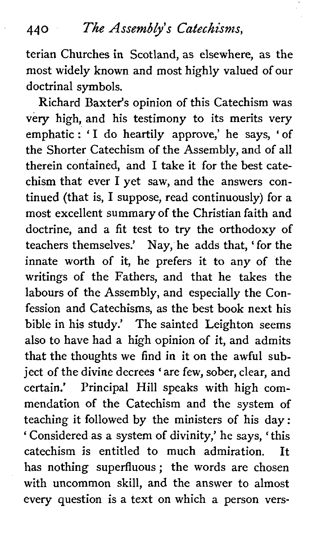# **<sup>440</sup>The** *Assemblys Catechisms,*

terian Churches in Scotland, as elsewhere, as the most widely known and most highly valued of our doctrinal symbols.

Richard Baxter's opinion of this Catechism was very high, and his testimony to its merits very emphatic : 'I do heartily approve,' he says, 'of the Shorter Catechism of the Assembly, and of all therein contained, and **1** take it for the best catechism that ever 1 yet saw, and the answers continued (that is, 1 suppose, read continuously) for a most excellent summary of the Christian faith and doctrine, and a fit test to try the orthodoxy of teachers themselves.' Nay, he adds that, 'for the innate worth of it, he prefers it to any of the writings of the Fathers, and that he takes the labours of the Assembly, and especially the Confession and Catechisms, as the best book next his bible in his study.' The sainted Leighton seems also to have had a high opinion of it, and admits that the thoughts we find in it on the awful subject of the divine decrees 'are few, sober, clear, and certain.' Principal Hill speaks with high commendation of the Catechism and the system of teaching it followed by the ministers of his day: ' Considered as a system of divinity,' he says, 'this catechism is entitled to much admiration. It has nothing superfluous ; the words are chosen with uncommon skill, and the answer to almost every question is a text on which a person vers-